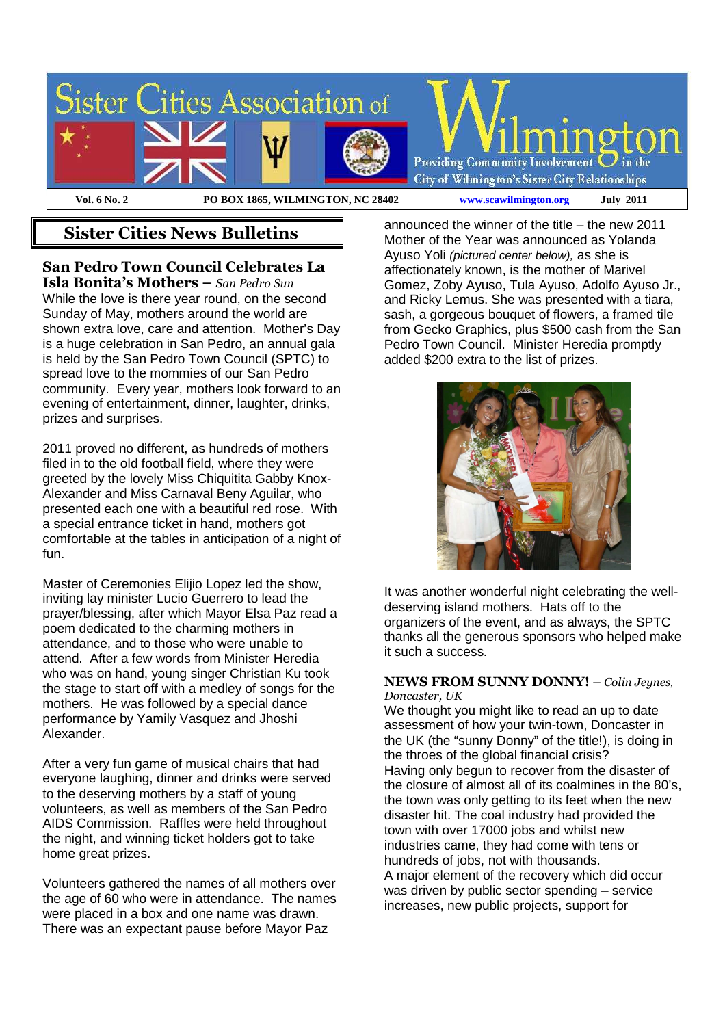

# **Sister Cities News Bulletins**

**San Pedro Town Council Celebrates La** 

**Isla Bonita's Mothers –** *San Pedro Sun*  While the love is there year round, on the second Sunday of May, mothers around the world are shown extra love, care and attention. Mother's Day is a huge celebration in San Pedro, an annual gala is held by the San Pedro Town Council (SPTC) to spread love to the mommies of our San Pedro community. Every year, mothers look forward to an evening of entertainment, dinner, laughter, drinks, prizes and surprises.

2011 proved no different, as hundreds of mothers filed in to the old football field, where they were greeted by the lovely Miss Chiquitita Gabby Knox-Alexander and Miss Carnaval Beny Aguilar, who presented each one with a beautiful red rose. With a special entrance ticket in hand, mothers got comfortable at the tables in anticipation of a night of fun.

Master of Ceremonies Elijio Lopez led the show, inviting lay minister Lucio Guerrero to lead the prayer/blessing, after which Mayor Elsa Paz read a poem dedicated to the charming mothers in attendance, and to those who were unable to attend. After a few words from Minister Heredia who was on hand, young singer Christian Ku took the stage to start off with a medley of songs for the mothers. He was followed by a special dance performance by Yamily Vasquez and Jhoshi Alexander.

After a very fun game of musical chairs that had everyone laughing, dinner and drinks were served to the deserving mothers by a staff of young volunteers, as well as members of the San Pedro AIDS Commission. Raffles were held throughout the night, and winning ticket holders got to take home great prizes.

Volunteers gathered the names of all mothers over the age of 60 who were in attendance. The names were placed in a box and one name was drawn. There was an expectant pause before Mayor Paz

announced the winner of the title – the new 2011 Mother of the Year was announced as Yolanda Ayuso Yoli (pictured center below), as she is affectionately known, is the mother of Marivel Gomez, Zoby Ayuso, Tula Ayuso, Adolfo Ayuso Jr., and Ricky Lemus. She was presented with a tiara, sash, a gorgeous bouquet of flowers, a framed tile from Gecko Graphics, plus \$500 cash from the San Pedro Town Council. Minister Heredia promptly added \$200 extra to the list of prizes.



It was another wonderful night celebrating the welldeserving island mothers. Hats off to the organizers of the event, and as always, the SPTC thanks all the generous sponsors who helped make it such a success.

#### **NEWS FROM SUNNY DONNY!** – *Colin Jeynes*, *Doncaster, UK*

We thought you might like to read an up to date assessment of how your twin-town, Doncaster in the UK (the "sunny Donny" of the title!), is doing in the throes of the global financial crisis? Having only begun to recover from the disaster of the closure of almost all of its coalmines in the 80's, the town was only getting to its feet when the new disaster hit. The coal industry had provided the town with over 17000 jobs and whilst new industries came, they had come with tens or hundreds of jobs, not with thousands. A major element of the recovery which did occur was driven by public sector spending – service increases, new public projects, support for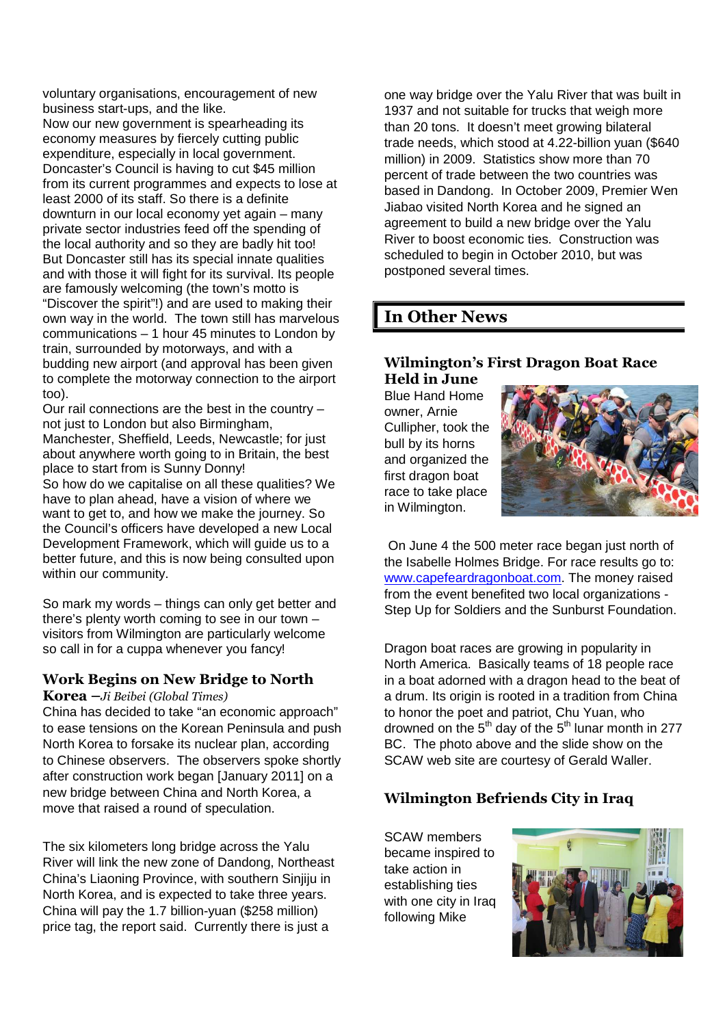voluntary organisations, encouragement of new business start-ups, and the like.

Now our new government is spearheading its economy measures by fiercely cutting public expenditure, especially in local government. Doncaster's Council is having to cut \$45 million from its current programmes and expects to lose at least 2000 of its staff. So there is a definite downturn in our local economy yet again – many private sector industries feed off the spending of the local authority and so they are badly hit too! But Doncaster still has its special innate qualities and with those it will fight for its survival. Its people are famously welcoming (the town's motto is "Discover the spirit"!) and are used to making their own way in the world. The town still has marvelous communications – 1 hour 45 minutes to London by train, surrounded by motorways, and with a budding new airport (and approval has been given to complete the motorway connection to the airport too).

Our rail connections are the best in the country – not just to London but also Birmingham, Manchester, Sheffield, Leeds, Newcastle; for just about anywhere worth going to in Britain, the best place to start from is Sunny Donny!

So how do we capitalise on all these qualities? We have to plan ahead, have a vision of where we want to get to, and how we make the journey. So the Council's officers have developed a new Local Development Framework, which will guide us to a better future, and this is now being consulted upon within our community.

So mark my words – things can only get better and there's plenty worth coming to see in our town – visitors from Wilmington are particularly welcome so call in for a cuppa whenever you fancy!

## **Work Begins on New Bridge to North**

#### **Korea –***Ji Beibei (Global Times)*

China has decided to take "an economic approach" to ease tensions on the Korean Peninsula and push North Korea to forsake its nuclear plan, according to Chinese observers. The observers spoke shortly after construction work began [January 2011] on a new bridge between China and North Korea, a move that raised a round of speculation.

The six kilometers long bridge across the Yalu River will link the new zone of Dandong, Northeast China's Liaoning Province, with southern Sinjiju in North Korea, and is expected to take three years. China will pay the 1.7 billion-yuan (\$258 million) price tag, the report said. Currently there is just a

one way bridge over the Yalu River that was built in 1937 and not suitable for trucks that weigh more than 20 tons. It doesn't meet growing bilateral trade needs, which stood at 4.22-billion yuan (\$640 million) in 2009. Statistics show more than 70 percent of trade between the two countries was based in Dandong. In October 2009, Premier Wen Jiabao visited North Korea and he signed an agreement to build a new bridge over the Yalu River to boost economic ties. Construction was scheduled to begin in October 2010, but was postponed several times.

# **In Other News**

### **Wilmington's First Dragon Boat Race Held in June**

Blue Hand Home owner, Arnie Cullipher, took the bull by its horns and organized the first dragon boat race to take place in Wilmington.



On June 4 the 500 meter race began just north of the Isabelle Holmes Bridge. For race results go to: www.capefeardragonboat.com. The money raised from the event benefited two local organizations - Step Up for Soldiers and the Sunburst Foundation.

Dragon boat races are growing in popularity in North America. Basically teams of 18 people race in a boat adorned with a dragon head to the beat of a drum. Its origin is rooted in a tradition from China to honor the poet and patriot, Chu Yuan, who drowned on the  $5<sup>th</sup>$  day of the  $5<sup>th</sup>$  lunar month in 277 BC. The photo above and the slide show on the SCAW web site are courtesy of Gerald Waller.

## **Wilmington Befriends City in Iraq**

SCAW members became inspired to take action in establishing ties with one city in Iraq following Mike